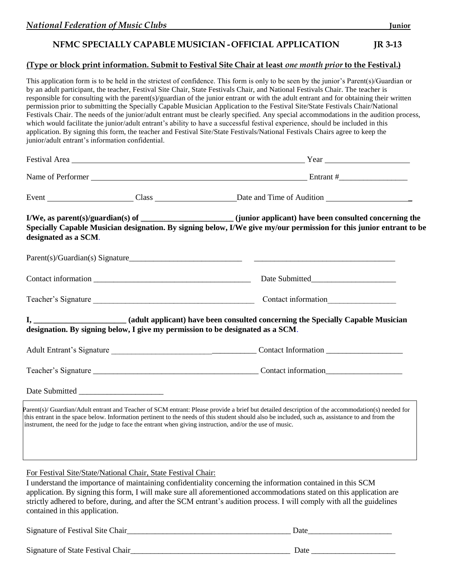## **NFMC SPECIALLY CAPABLE MUSICIAN -OFFICIAL APPLICATION JR 3-13**

## **(Type or block print information. Submit to Festival Site Chair at least** *one month prior* **to the Festival.)**

This application form is to be held in the strictest of confidence. This form is only to be seen by the junior's Parent(s)/Guardian or by an adult participant, the teacher, Festival Site Chair, State Festivals Chair, and National Festivals Chair. The teacher is responsible for consulting with the parent(s)/guardian of the junior entrant or with the adult entrant and for obtaining their written permission prior to submitting the Specially Capable Musician Application to the Festival Site/State Festivals Chair/National Festivals Chair. The needs of the junior/adult entrant must be clearly specified. Any special accommodations in the audition process, which would facilitate the junior/adult entrant's ability to have a successful festival experience, should be included in this application. By signing this form, the teacher and Festival Site/State Festivals/National Festivals Chairs agree to keep the junior/adult entrant's information confidential.

| designated as a SCM.                                                                                                                                                                                                                                         | I/We, as parent(s)/guardian(s) of ________________________(junior applicant) have been consulted concerning the<br>Specially Capable Musician designation. By signing below, I/We give my/our permission for this junior entrant to be          |
|--------------------------------------------------------------------------------------------------------------------------------------------------------------------------------------------------------------------------------------------------------------|-------------------------------------------------------------------------------------------------------------------------------------------------------------------------------------------------------------------------------------------------|
|                                                                                                                                                                                                                                                              |                                                                                                                                                                                                                                                 |
|                                                                                                                                                                                                                                                              |                                                                                                                                                                                                                                                 |
| Teacher's Signature                                                                                                                                                                                                                                          |                                                                                                                                                                                                                                                 |
| designation. By signing below, I give my permission to be designated as a SCM.                                                                                                                                                                               |                                                                                                                                                                                                                                                 |
|                                                                                                                                                                                                                                                              |                                                                                                                                                                                                                                                 |
|                                                                                                                                                                                                                                                              |                                                                                                                                                                                                                                                 |
|                                                                                                                                                                                                                                                              |                                                                                                                                                                                                                                                 |
| this entrant in the space below. Information pertinent to the needs of this student should also be included, such as, assistance to and from the<br>instrument, the need for the judge to face the entrant when giving instruction, and/or the use of music. | Parent(s)/Guardian/Adult entrant and Teacher of SCM entrant: Please provide a brief but detailed description of the accommodation(s) needed for                                                                                                 |
| For Festival Site/State/National Chair, State Festival Chair:<br>I understand the importance of maintaining confidentiality concerning the information contained in this SCM<br>contained in this application.                                               | application. By signing this form, I will make sure all aforementioned accommodations stated on this application are<br>strictly adhered to before, during, and after the SCM entrant's audition process. I will comply with all the guidelines |

Signature of Festival Site Chair\_\_\_\_\_\_\_\_\_\_\_\_\_\_\_\_\_\_\_\_\_\_\_\_\_\_\_\_\_\_\_\_\_\_\_\_\_\_\_\_\_ Date\_\_\_\_\_\_\_\_\_\_\_\_\_\_\_\_\_\_\_\_\_ Signature of State Festival Chair\_\_\_\_\_\_\_\_\_\_\_\_\_\_\_\_\_\_\_\_\_\_\_\_\_\_\_\_\_\_\_\_\_\_\_\_\_\_\_\_ Date \_\_\_\_\_\_\_\_\_\_\_\_\_\_\_\_\_\_\_\_\_